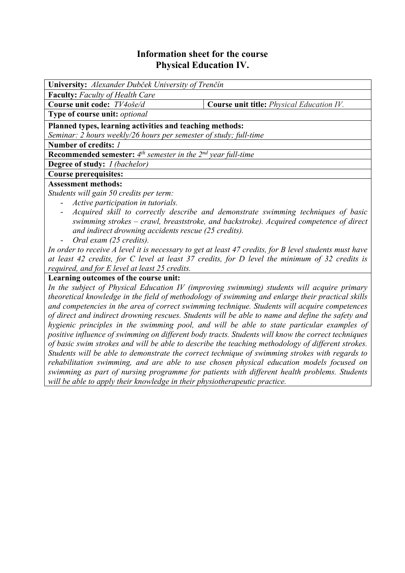## **Information sheet for the course Physical Education IV.**

| University: Alexander Dubček University of Trenčín                                                     |                                                  |  |  |  |  |
|--------------------------------------------------------------------------------------------------------|--------------------------------------------------|--|--|--|--|
| <b>Faculty:</b> Faculty of Health Care                                                                 |                                                  |  |  |  |  |
| Course unit code: TV4oše/d                                                                             | <b>Course unit title:</b> Physical Education IV. |  |  |  |  |
| Type of course unit: optional                                                                          |                                                  |  |  |  |  |
| Planned types, learning activities and teaching methods:                                               |                                                  |  |  |  |  |
| Seminar: 2 hours weekly/26 hours per semester of study; full-time                                      |                                                  |  |  |  |  |
| Number of credits: /                                                                                   |                                                  |  |  |  |  |
| <b>Recommended semester:</b> $4^{th}$ semester in the $2^{nd}$ year full-time                          |                                                  |  |  |  |  |
| <b>Degree of study:</b> <i>I (bachelor)</i>                                                            |                                                  |  |  |  |  |
| <b>Course prerequisites:</b>                                                                           |                                                  |  |  |  |  |
| <b>Assessment methods:</b>                                                                             |                                                  |  |  |  |  |
| Students will gain 50 credits per term:                                                                |                                                  |  |  |  |  |
| Active participation in tutorials.                                                                     |                                                  |  |  |  |  |
| Acquired skill to correctly describe and demonstrate swimming techniques of basic                      |                                                  |  |  |  |  |
| swimming strokes - crawl, breaststroke, and backstroke). Acquired competence of direct                 |                                                  |  |  |  |  |
| and indirect drowning accidents rescue (25 credits).                                                   |                                                  |  |  |  |  |
| Oral exam (25 credits).                                                                                |                                                  |  |  |  |  |
| In order to receive A level it is necessary to get at least 47 credits, for B level students must have |                                                  |  |  |  |  |
| at least 42 credits, for C level at least 37 credits, for D level the minimum of 32 credits is         |                                                  |  |  |  |  |
| required, and for E level at least 25 credits.                                                         |                                                  |  |  |  |  |
| Learning outcomes of the course unit:                                                                  |                                                  |  |  |  |  |
| In the subject of Physical Education IV (improving swimming) students will acquire primary             |                                                  |  |  |  |  |
| theoretical knowledge in the field of methodology of swimming and enlarge their practical skills       |                                                  |  |  |  |  |
| and competencies in the area of correct swimming technique. Students will acquire competences          |                                                  |  |  |  |  |
| of direct and indirect drowning rescues. Students will be able to name and define the safety and       |                                                  |  |  |  |  |
| hygienic principles in the swimming pool, and will be able to state particular examples of             |                                                  |  |  |  |  |
| positive influence of swimming on different body tracts. Students will know the correct techniques     |                                                  |  |  |  |  |
| of basic swim strokes and will be able to describe the teaching methodology of different strokes.      |                                                  |  |  |  |  |
| Students will be able to demonstrate the correct technique of swimming strokes with regards to         |                                                  |  |  |  |  |
| rehabilitation swimming, and are able to use chosen physical education models focused on               |                                                  |  |  |  |  |

*swimming as part of nursing programme for patients with different health problems. Students* 

*will be able to apply their knowledge in their physiotherapeutic practice.*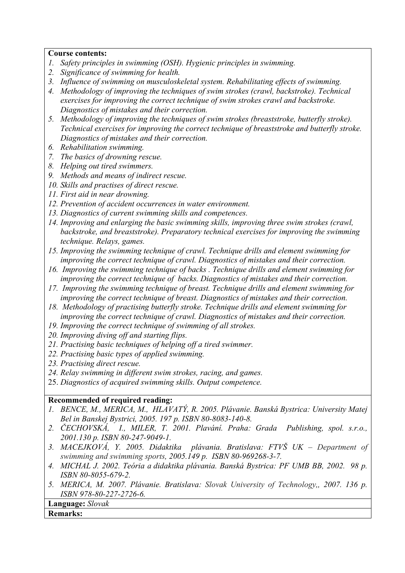## **Course contents:**

- *1. Safety principles in swimming (OSH). Hygienic principles in swimming.*
- *2. Significance of swimming for health.*
- *3. Influence of swimming on musculoskeletal system. Rehabilitating effects of swimming.*
- *4. Methodology of improving the techniques of swim strokes (crawl, backstroke). Technical exercises for improving the correct technique of swim strokes crawl and backstroke. Diagnostics of mistakes and their correction.*
- *5. Methodology of improving the techniques of swim strokes (breaststroke, butterfly stroke). Technical exercises for improving the correct technique of breaststroke and butterfly stroke. Diagnostics of mistakes and their correction.*
- *6. Rehabilitation swimming.*
- *7. The basics of drowning rescue.*
- *8. Helping out tired swimmers.*
- *9. Methods and means of indirect rescue.*
- *10. Skills and practises of direct rescue.*
- *11. First aid in near drowning.*
- *12. Prevention of accident occurrences in water environment.*
- *13. Diagnostics of current swimming skills and competences.*
- *14. Improving and enlarging the basic swimming skills, improving three swim strokes (crawl, backstroke, and breaststroke). Preparatory technical exercises for improving the swimming technique. Relays, games.*
- *15. Improving the swimming technique of crawl. Technique drills and element swimming for improving the correct technique of crawl. Diagnostics of mistakes and their correction.*
- *16. Improving the swimming technique of backs . Technique drills and element swimming for improving the correct technique of backs. Diagnostics of mistakes and their correction.*
- *17. Improving the swimming technique of breast. Technique drills and element swimming for improving the correct technique of breast. Diagnostics of mistakes and their correction.*
- *18. Methodology of practising butterfly stroke. Technique drills and element swimming for improving the correct technique of crawl. Diagnostics of mistakes and their correction.*
- *19. Improving the correct technique of swimming of all strokes.*
- *20. Improving diving off and starting flips.*
- *21. Practising basic techniques of helping off a tired swimmer.*
- *22. Practising basic types of applied swimming.*
- *23. Practising direct rescue.*
- *24. Relay swimming in different swim strokes, racing, and games.*
- 25. *Diagnostics of acquired swimming skills. Output competence.*

## **Recommended of required reading:**

- *1. BENCE, M., MERICA, M., HLAVATÝ, R. 2005. Plávanie. Banská Bystrica: University Matej Bel in Banskej Bystrici, 2005. 197 p. ISBN 80-8083-140-8.*
- *2. ČECHOVSKÁ, I., MILER, T. 2001. Plavání. Praha: Grada Publishing, spol. s.r.o., 2001.130 p. ISBN 80-247-9049-1.*
- *3. MACEJKOVÁ, Y. 2005. Didaktika plávania. Bratislava: FTVŠ UK Department of swimming and swimming sports, 2005.149 p. ISBN 80-969268-3-7.*
- *4. MICHAL J. 2002. Teória a didaktika plávania. Banská Bystrica: PF UMB BB, 2002. 98 p. ISBN 80-8055-679-2.*
- *5. MERICA, M. 2007. Plávanie. Bratislava: Slovak University of Technology,, 2007. 136 p. ISBN 978-80-227-2726-6.*

**Language:** *Slovak* 

## **Remarks:**